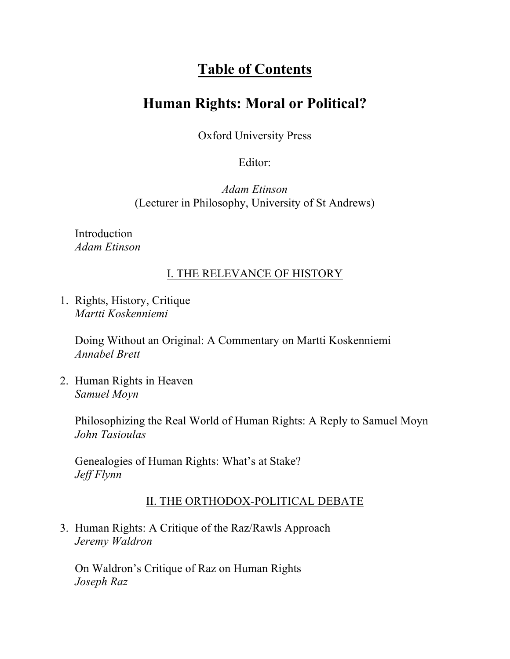# **Table of Contents**

## **Human Rights: Moral or Political?**

Oxford University Press

Editor:

*Adam Etinson*  (Lecturer in Philosophy, University of St Andrews)

Introduction *Adam Etinson*

## I. THE RELEVANCE OF HISTORY

1. Rights, History, Critique *Martti Koskenniemi*

> Doing Without an Original: A Commentary on Martti Koskenniemi *Annabel Brett*

2. Human Rights in Heaven *Samuel Moyn*

> Philosophizing the Real World of Human Rights: A Reply to Samuel Moyn *John Tasioulas*

Genealogies of Human Rights: What's at Stake? *Jeff Flynn*

## II. THE ORTHODOX-POLITICAL DEBATE

3. Human Rights: A Critique of the Raz/Rawls Approach *Jeremy Waldron*

On Waldron's Critique of Raz on Human Rights *Joseph Raz*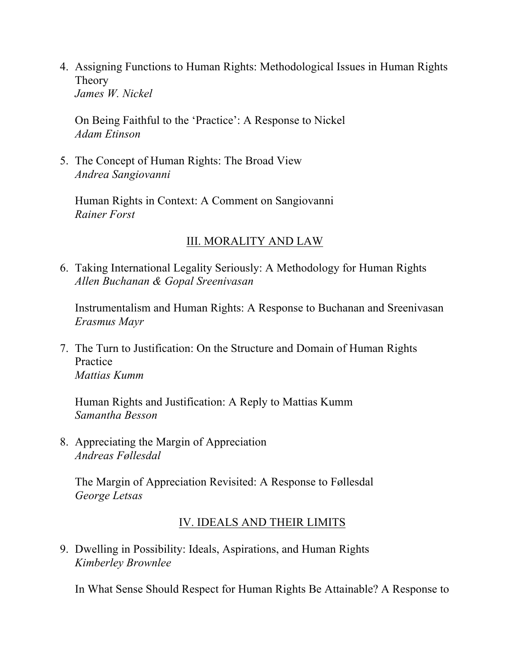4. Assigning Functions to Human Rights: Methodological Issues in Human Rights Theory *James W. Nickel*

On Being Faithful to the 'Practice': A Response to Nickel *Adam Etinson*

5. The Concept of Human Rights: The Broad View *Andrea Sangiovanni*

Human Rights in Context: A Comment on Sangiovanni *Rainer Forst*

## III. MORALITY AND LAW

6. Taking International Legality Seriously: A Methodology for Human Rights *Allen Buchanan & Gopal Sreenivasan*

Instrumentalism and Human Rights: A Response to Buchanan and Sreenivasan *Erasmus Mayr*

7. The Turn to Justification: On the Structure and Domain of Human Rights Practice *Mattias Kumm*

Human Rights and Justification: A Reply to Mattias Kumm *Samantha Besson*

8. Appreciating the Margin of Appreciation *Andreas Føllesdal*

The Margin of Appreciation Revisited: A Response to Føllesdal *George Letsas*

## IV. IDEALS AND THEIR LIMITS

9. Dwelling in Possibility: Ideals, Aspirations, and Human Rights *Kimberley Brownlee*

In What Sense Should Respect for Human Rights Be Attainable? A Response to